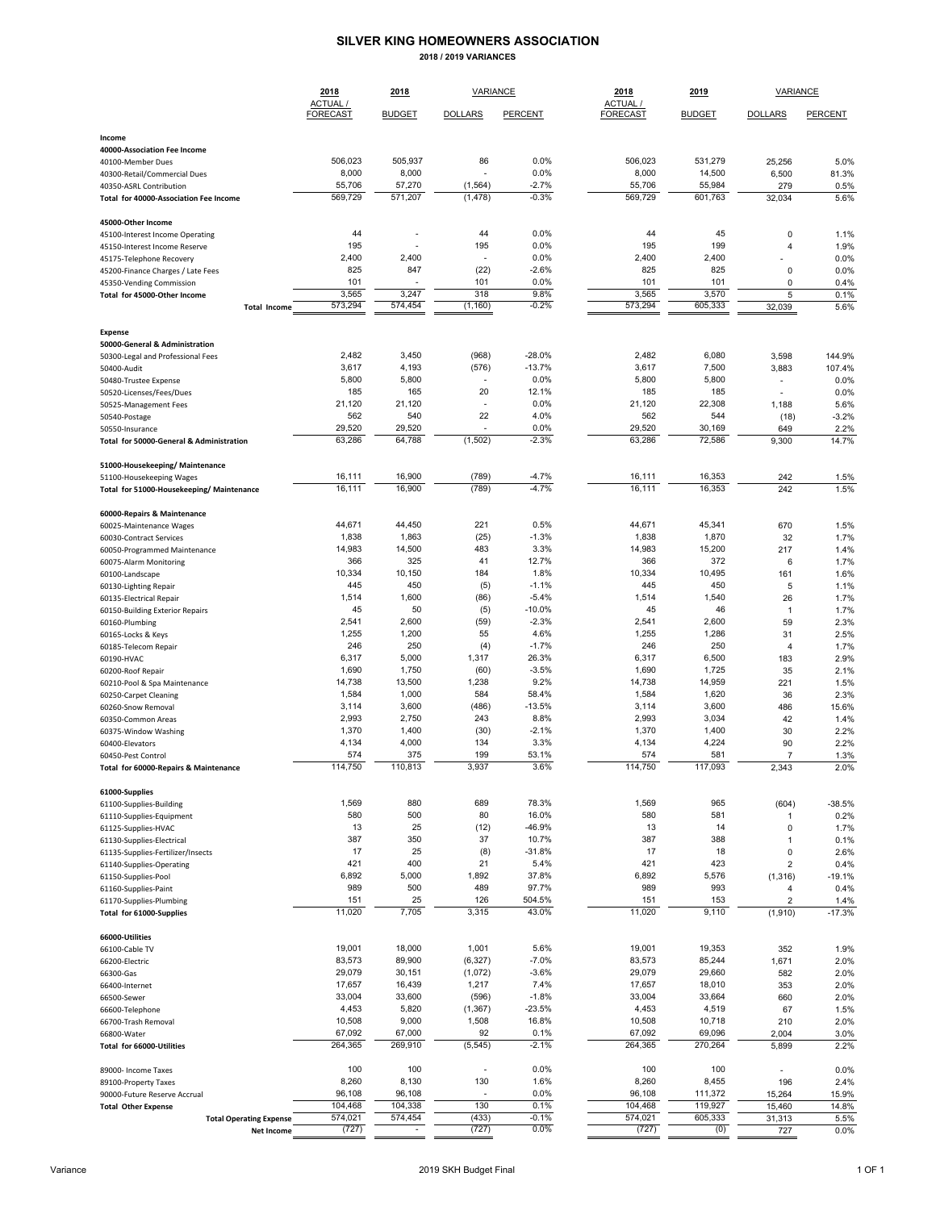## **SILVER KING HOMEOWNERS ASSOCIATION**

**2018 / 2019 VARIANCES**

|                                                                   | 2018                        | 2018              | VARIANCE             |                      | 2018                        | 2019              | VARIANCE                 |                  |  |
|-------------------------------------------------------------------|-----------------------------|-------------------|----------------------|----------------------|-----------------------------|-------------------|--------------------------|------------------|--|
|                                                                   | ACTUAL /<br><b>FORECAST</b> | <b>BUDGET</b>     | <b>DOLLARS</b>       | PERCENT              | ACTUAL /<br><b>FORECAST</b> | <b>BUDGET</b>     | <b>DOLLARS</b>           | PERCENT          |  |
| Income                                                            |                             |                   |                      |                      |                             |                   |                          |                  |  |
| 40000-Association Fee Income                                      |                             |                   |                      |                      |                             |                   |                          |                  |  |
| 40100-Member Dues                                                 | 506,023                     | 505,937           | 86                   | 0.0%                 | 506,023                     | 531,279           | 25,256                   | 5.0%             |  |
| 40300-Retail/Commercial Dues                                      | 8,000                       | 8,000             |                      | 0.0%                 | 8,000                       | 14,500            | 6,500                    | 81.3%            |  |
| 40350-ASRL Contribution<br>Total for 40000-Association Fee Income | 55,706<br>569,729           | 57,270<br>571,207 | (1, 564)<br>(1, 478) | $-2.7%$<br>$-0.3%$   | 55,706<br>569,729           | 55,984<br>601,763 | 279<br>32,034            | 0.5%<br>5.6%     |  |
|                                                                   |                             |                   |                      |                      |                             |                   |                          |                  |  |
| 45000-Other Income                                                |                             |                   |                      |                      |                             |                   |                          |                  |  |
| 45100-Interest Income Operating                                   | 44<br>195                   |                   | 44<br>195            | 0.0%<br>0.0%         | 44<br>195                   | 45<br>199         | 0                        | 1.1%             |  |
| 45150-Interest Income Reserve<br>45175-Telephone Recovery         | 2,400                       | 2,400             |                      | 0.0%                 | 2,400                       | 2,400             | 4                        | 1.9%<br>0.0%     |  |
| 45200-Finance Charges / Late Fees                                 | 825                         | 847               | (22)                 | $-2.6%$              | 825                         | 825               | 0                        | 0.0%             |  |
| 45350-Vending Commission                                          | 101                         |                   | 101                  | 0.0%                 | 101                         | 101               | 0                        | 0.4%             |  |
| Total for 45000-Other Income                                      | 3,565                       | 3,247             | 318                  | 9.8%                 | 3,565                       | 3,570             | 5                        | 0.1%             |  |
| <b>Total Income</b>                                               | 573.294                     | 574,454           | (1, 160)             | $-0.2%$              | 573,294                     | 605,333           | 32,039                   | 5.6%             |  |
| <b>Expense</b>                                                    |                             |                   |                      |                      |                             |                   |                          |                  |  |
| 50000-General & Administration                                    |                             |                   |                      |                      |                             |                   |                          |                  |  |
| 50300-Legal and Professional Fees                                 | 2,482<br>3,617              | 3,450<br>4,193    | (968)                | $-28.0%$<br>$-13.7%$ | 2,482<br>3,617              | 6,080             | 3,598                    | 144.9%           |  |
| 50400-Audit<br>50480-Trustee Expense                              | 5,800                       | 5,800             | (576)                | 0.0%                 | 5,800                       | 7,500<br>5,800    | 3,883<br>٠               | 107.4%<br>0.0%   |  |
| 50520-Licenses/Fees/Dues                                          | 185                         | 165               | 20                   | 12.1%                | 185                         | 185               |                          | 0.0%             |  |
| 50525-Management Fees                                             | 21,120                      | 21,120            | ÷.                   | 0.0%                 | 21,120                      | 22,308            | 1,188                    | 5.6%             |  |
| 50540-Postage                                                     | 562                         | 540               | 22                   | 4.0%                 | 562                         | 544               | (18)                     | $-3.2%$          |  |
| 50550-Insurance                                                   | 29,520                      | 29,520            |                      | 0.0%                 | 29,520                      | 30,169            | 649                      | 2.2%             |  |
| Total for 50000-General & Administration                          | 63,286                      | 64,788            | (1,502)              | $-2.3%$              | 63,286                      | 72,586            | 9,300                    | 14.7%            |  |
| 51000-Housekeeping/ Maintenance                                   |                             |                   |                      |                      |                             |                   |                          |                  |  |
| 51100-Housekeeping Wages                                          | 16,111                      | 16,900            | (789)                | $-4.7%$              | 16,111                      | 16,353            | 242                      | 1.5%             |  |
| Total for 51000-Housekeeping/ Maintenance                         | 16,111                      | 16,900            | (789)                | $-4.7%$              | 16,111                      | 16,353            | 242                      | 1.5%             |  |
| 60000-Repairs & Maintenance                                       |                             |                   |                      |                      |                             |                   |                          |                  |  |
| 60025-Maintenance Wages                                           | 44,671                      | 44,450            | 221                  | 0.5%                 | 44,671                      | 45,341            | 670                      | 1.5%             |  |
| 60030-Contract Services                                           | 1,838                       | 1,863             | (25)                 | $-1.3%$              | 1,838                       | 1,870             | 32                       | 1.7%             |  |
| 60050-Programmed Maintenance                                      | 14,983                      | 14,500            | 483                  | 3.3%                 | 14,983                      | 15,200            | 217                      | 1.4%             |  |
| 60075-Alarm Monitoring                                            | 366<br>10,334               | 325<br>10,150     | 41<br>184            | 12.7%<br>1.8%        | 366<br>10,334               | 372<br>10,495     | 6<br>161                 | 1.7%<br>1.6%     |  |
| 60100-Landscape<br>60130-Lighting Repair                          | 445                         | 450               | (5)                  | $-1.1%$              | 445                         | 450               | 5                        | 1.1%             |  |
| 60135-Electrical Repair                                           | 1,514                       | 1,600             | (86)                 | $-5.4%$              | 1,514                       | 1,540             | 26                       | 1.7%             |  |
| 60150-Building Exterior Repairs                                   | 45                          | 50                | (5)                  | $-10.0%$             | 45                          | 46                | $\mathbf{1}$             | 1.7%             |  |
| 60160-Plumbing                                                    | 2,541                       | 2,600             | (59)                 | $-2.3%$              | 2,541                       | 2,600             | 59                       | 2.3%             |  |
| 60165-Locks & Keys                                                | 1,255                       | 1,200             | 55                   | 4.6%                 | 1,255                       | 1,286             | 31                       | 2.5%             |  |
| 60185-Telecom Repair                                              | 246                         | 250               | (4)                  | $-1.7%$              | 246                         | 250               | 4                        | 1.7%             |  |
| 60190-HVAC                                                        | 6,317<br>1,690              | 5,000<br>1,750    | 1,317<br>(60)        | 26.3%<br>$-3.5%$     | 6,317<br>1,690              | 6,500<br>1,725    | 183                      | 2.9%             |  |
| 60200-Roof Repair<br>60210-Pool & Spa Maintenance                 | 14,738                      | 13,500            | 1,238                | 9.2%                 | 14,738                      | 14,959            | 35<br>221                | 2.1%<br>1.5%     |  |
| 60250-Carpet Cleaning                                             | 1,584                       | 1,000             | 584                  | 58.4%                | 1,584                       | 1,620             | 36                       | 2.3%             |  |
| 60260-Snow Removal                                                | 3,114                       | 3,600             | (486)                | $-13.5%$             | 3,114                       | 3,600             | 486                      | 15.6%            |  |
| 60350-Common Areas                                                | 2,993                       | 2,750             | 243                  | 8.8%                 | 2,993                       | 3,034             | 42                       | 1.4%             |  |
| 60375-Window Washing                                              | 1,370                       | 1,400             | (30)                 | $-2.1%$              | 1,370                       | 1,400             | 30                       | 2.2%             |  |
| 60400-Elevators                                                   | 4,134                       | 4,000             | 134                  | 3.3%                 | 4,134                       | 4,224             | 90                       | 2.2%             |  |
| 60450-Pest Control<br>Total for 60000-Repairs & Maintenance       | 574<br>114,750              | 375<br>110,813    | 199<br>3,937         | 53.1%<br>3.6%        | 574<br>114,750              | 581<br>117,093    | $\overline{7}$<br>2,343  | 1.3%<br>2.0%     |  |
|                                                                   |                             |                   |                      |                      |                             |                   |                          |                  |  |
| 61000-Supplies                                                    | 1,569                       | 880               | 689                  | 78.3%                | 1,569                       | 965               |                          |                  |  |
| 61100-Supplies-Building<br>61110-Supplies-Equipment               | 580                         | 500               | 80                   | 16.0%                | 580                         | 581               | (604)<br>1               | $-38.5%$<br>0.2% |  |
| 61125-Supplies-HVAC                                               | 13                          | 25                | (12)                 | -46.9%               | 13                          | 14                | 0                        | 1.7%             |  |
| 61130-Supplies-Electrical                                         | 387                         | 350               | 37                   | 10.7%                | 387                         | 388               | $\mathbf{1}$             | 0.1%             |  |
| 61135-Supplies-Fertilizer/Insects                                 | 17                          | 25                | (8)                  | $-31.8%$             | 17                          | 18                | 0                        | 2.6%             |  |
| 61140-Supplies-Operating                                          | 421                         | 400               | 21                   | 5.4%                 | 421                         | 423               | $\overline{2}$           | 0.4%             |  |
| 61150-Supplies-Pool                                               | 6,892                       | 5,000             | 1,892                | 37.8%                | 6,892                       | 5,576             | (1, 316)                 | $-19.1%$         |  |
| 61160-Supplies-Paint                                              | 989<br>151                  | 500<br>25         | 489<br>126           | 97.7%<br>504.5%      | 989<br>151                  | 993<br>153        | 4<br>$\overline{2}$      | 0.4%             |  |
| 61170-Supplies-Plumbing<br>Total for 61000-Supplies               | 11,020                      | 7,705             | 3,315                | 43.0%                | 11,020                      | 9,110             | (1,910)                  | 1.4%<br>$-17.3%$ |  |
|                                                                   |                             |                   |                      |                      |                             |                   |                          |                  |  |
| 66000-Utilities<br>66100-Cable TV                                 | 19,001                      | 18,000            | 1,001                | 5.6%                 | 19,001                      | 19,353            | 352                      | 1.9%             |  |
| 66200-Electric                                                    | 83,573                      | 89,900            | (6, 327)             | $-7.0%$              | 83,573                      | 85,244            | 1,671                    | 2.0%             |  |
| 66300-Gas                                                         | 29,079                      | 30,151            | (1,072)              | $-3.6%$              | 29,079                      | 29,660            | 582                      | 2.0%             |  |
| 66400-Internet                                                    | 17,657                      | 16,439            | 1,217                | 7.4%                 | 17,657                      | 18,010            | 353                      | 2.0%             |  |
| 66500-Sewer                                                       | 33,004                      | 33,600            | (596)                | $-1.8%$              | 33,004                      | 33,664            | 660                      | 2.0%             |  |
| 66600-Telephone                                                   | 4,453                       | 5,820             | (1, 367)             | $-23.5%$             | 4,453                       | 4,519             | 67                       | 1.5%             |  |
| 66700-Trash Removal                                               | 10,508                      | 9,000             | 1,508                | 16.8%                | 10,508                      | 10,718            | 210                      | 2.0%             |  |
| 66800-Water<br>Total for 66000-Utilities                          | 67,092<br>264,365           | 67,000<br>269,910 | 92<br>(5, 545)       | 0.1%<br>$-2.1%$      | 67,092<br>264,365           | 69,096<br>270,264 | 2,004<br>5,899           | 3.0%<br>2.2%     |  |
|                                                                   |                             |                   |                      |                      |                             |                   |                          |                  |  |
| 89000- Income Taxes                                               | 100                         | 100               |                      | 0.0%                 | 100                         | 100               | $\overline{\phantom{0}}$ | 0.0%             |  |
| 89100-Property Taxes<br>90000-Future Reserve Accrual              | 8,260<br>96,108             | 8,130<br>96,108   | 130                  | 1.6%<br>0.0%         | 8,260<br>96,108             | 8,455<br>111,372  | 196<br>15,264            | 2.4%<br>15.9%    |  |
| <b>Total Other Expense</b>                                        | 104,468                     | 104,338           | 130                  | 0.1%                 | 104,468                     | 119,927           | 15,460                   | 14.8%            |  |
| <b>Total Operating Expense</b>                                    | 574,021                     | 574,454           | (433)                | $-0.1%$              | 574,021                     | 605,333           | 31,313                   | 5.5%             |  |
| Net Income                                                        | (727)                       |                   | (727)                | 0.0%                 | (727)                       | (0)               | 727                      | 0.0%             |  |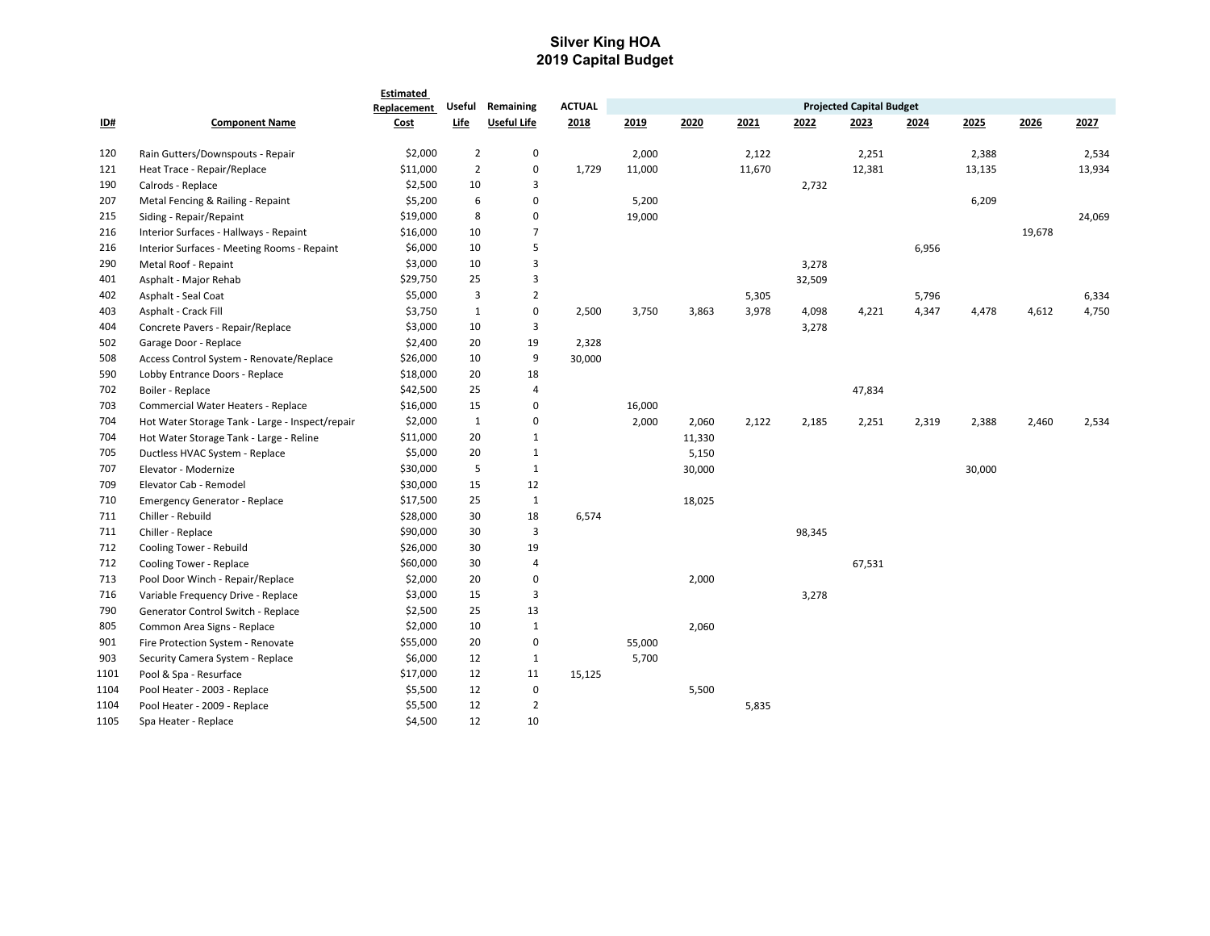## **Silver King HOA 2019 Capital Budget**

|            |                                                 | Estimated   |                |                    |               |        |        |        |        |                                 |       |        |        |        |
|------------|-------------------------------------------------|-------------|----------------|--------------------|---------------|--------|--------|--------|--------|---------------------------------|-------|--------|--------|--------|
|            |                                                 | Replacement | Useful         | Remaining          | <b>ACTUAL</b> |        |        |        |        | <b>Projected Capital Budget</b> |       |        |        |        |
| <u>ID#</u> | <b>Component Name</b>                           | Cost        | Life           | <b>Useful Life</b> | 2018          | 2019   | 2020   | 2021   | 2022   | 2023                            | 2024  | 2025   | 2026   | 2027   |
| 120        | Rain Gutters/Downspouts - Repair                | \$2,000     | $\overline{2}$ | $\mathbf 0$        |               | 2,000  |        | 2,122  |        | 2,251                           |       | 2,388  |        | 2,534  |
| 121        | Heat Trace - Repair/Replace                     | \$11,000    | $\overline{2}$ | $\mathbf 0$        | 1,729         | 11,000 |        | 11,670 |        | 12,381                          |       | 13,135 |        | 13,934 |
| 190        | Calrods - Replace                               | \$2,500     | 10             | 3                  |               |        |        |        | 2,732  |                                 |       |        |        |        |
| 207        | Metal Fencing & Railing - Repaint               | \$5,200     | 6              | $\mathbf 0$        |               | 5,200  |        |        |        |                                 |       | 6,209  |        |        |
| 215        | Siding - Repair/Repaint                         | \$19,000    | 8              | $\mathbf 0$        |               | 19,000 |        |        |        |                                 |       |        |        | 24,069 |
| 216        | Interior Surfaces - Hallways - Repaint          | \$16,000    | 10             | $\overline{7}$     |               |        |        |        |        |                                 |       |        | 19,678 |        |
| 216        | Interior Surfaces - Meeting Rooms - Repaint     | \$6,000     | 10             | 5                  |               |        |        |        |        |                                 | 6,956 |        |        |        |
| 290        | Metal Roof - Repaint                            | \$3,000     | 10             | 3                  |               |        |        |        | 3,278  |                                 |       |        |        |        |
| 401        | Asphalt - Major Rehab                           | \$29,750    | 25             | 3                  |               |        |        |        | 32,509 |                                 |       |        |        |        |
| 402        | Asphalt - Seal Coat                             | \$5,000     | 3              | $\overline{2}$     |               |        |        | 5,305  |        |                                 | 5,796 |        |        | 6,334  |
| 403        | Asphalt - Crack Fill                            | \$3,750     | $\mathbf{1}$   | $\pmb{0}$          | 2,500         | 3,750  | 3,863  | 3,978  | 4,098  | 4,221                           | 4,347 | 4,478  | 4,612  | 4,750  |
| 404        | Concrete Pavers - Repair/Replace                | \$3,000     | 10             | 3                  |               |        |        |        | 3,278  |                                 |       |        |        |        |
| 502        | Garage Door - Replace                           | \$2,400     | 20             | 19                 | 2,328         |        |        |        |        |                                 |       |        |        |        |
| 508        | Access Control System - Renovate/Replace        | \$26,000    | 10             | 9                  | 30,000        |        |        |        |        |                                 |       |        |        |        |
| 590        | Lobby Entrance Doors - Replace                  | \$18,000    | 20             | 18                 |               |        |        |        |        |                                 |       |        |        |        |
| 702        | Boiler - Replace                                | \$42,500    | 25             | $\overline{a}$     |               |        |        |        |        | 47,834                          |       |        |        |        |
| 703        | Commercial Water Heaters - Replace              | \$16,000    | 15             | $\mathbf 0$        |               | 16,000 |        |        |        |                                 |       |        |        |        |
| 704        | Hot Water Storage Tank - Large - Inspect/repair | \$2,000     | $\,1\,$        | $\mathbf 0$        |               | 2,000  | 2,060  | 2,122  | 2,185  | 2,251                           | 2,319 | 2,388  | 2,460  | 2,534  |
| 704        | Hot Water Storage Tank - Large - Reline         | \$11,000    | 20             | $\mathbf{1}$       |               |        | 11,330 |        |        |                                 |       |        |        |        |
| 705        | Ductless HVAC System - Replace                  | \$5,000     | 20             | $\mathbf{1}$       |               |        | 5,150  |        |        |                                 |       |        |        |        |
| 707        | Elevator - Modernize                            | \$30,000    | 5              | $\mathbf{1}$       |               |        | 30,000 |        |        |                                 |       | 30,000 |        |        |
| 709        | Elevator Cab - Remodel                          | \$30,000    | 15             | 12                 |               |        |        |        |        |                                 |       |        |        |        |
| 710        | <b>Emergency Generator - Replace</b>            | \$17,500    | 25             | $\mathbf 1$        |               |        | 18,025 |        |        |                                 |       |        |        |        |
| 711        | Chiller - Rebuild                               | \$28,000    | 30             | 18                 | 6,574         |        |        |        |        |                                 |       |        |        |        |
| 711        | Chiller - Replace                               | \$90,000    | 30             | 3                  |               |        |        |        | 98,345 |                                 |       |        |        |        |
| 712        | Cooling Tower - Rebuild                         | \$26,000    | 30             | 19                 |               |        |        |        |        |                                 |       |        |        |        |
| 712        | Cooling Tower - Replace                         | \$60,000    | 30             | $\overline{a}$     |               |        |        |        |        | 67,531                          |       |        |        |        |
| 713        | Pool Door Winch - Repair/Replace                | \$2,000     | 20             | 0                  |               |        | 2,000  |        |        |                                 |       |        |        |        |
| 716        | Variable Frequency Drive - Replace              | \$3,000     | 15             | 3                  |               |        |        |        | 3,278  |                                 |       |        |        |        |
| 790        | Generator Control Switch - Replace              | \$2,500     | 25             | 13                 |               |        |        |        |        |                                 |       |        |        |        |
| 805        | Common Area Signs - Replace                     | \$2,000     | 10             | $\mathbf{1}$       |               |        | 2,060  |        |        |                                 |       |        |        |        |
| 901        | Fire Protection System - Renovate               | \$55,000    | 20             | $\pmb{0}$          |               | 55,000 |        |        |        |                                 |       |        |        |        |
| 903        | Security Camera System - Replace                | \$6,000     | 12             | $\mathbf{1}$       |               | 5,700  |        |        |        |                                 |       |        |        |        |
| 1101       | Pool & Spa - Resurface                          | \$17,000    | 12             | 11                 | 15,125        |        |        |        |        |                                 |       |        |        |        |
| 1104       | Pool Heater - 2003 - Replace                    | \$5,500     | 12             | $\pmb{0}$          |               |        | 5,500  |        |        |                                 |       |        |        |        |
| 1104       | Pool Heater - 2009 - Replace                    | \$5,500     | 12             | $\overline{2}$     |               |        |        | 5,835  |        |                                 |       |        |        |        |
| 1105       | Spa Heater - Replace                            | \$4,500     | 12             | 10                 |               |        |        |        |        |                                 |       |        |        |        |